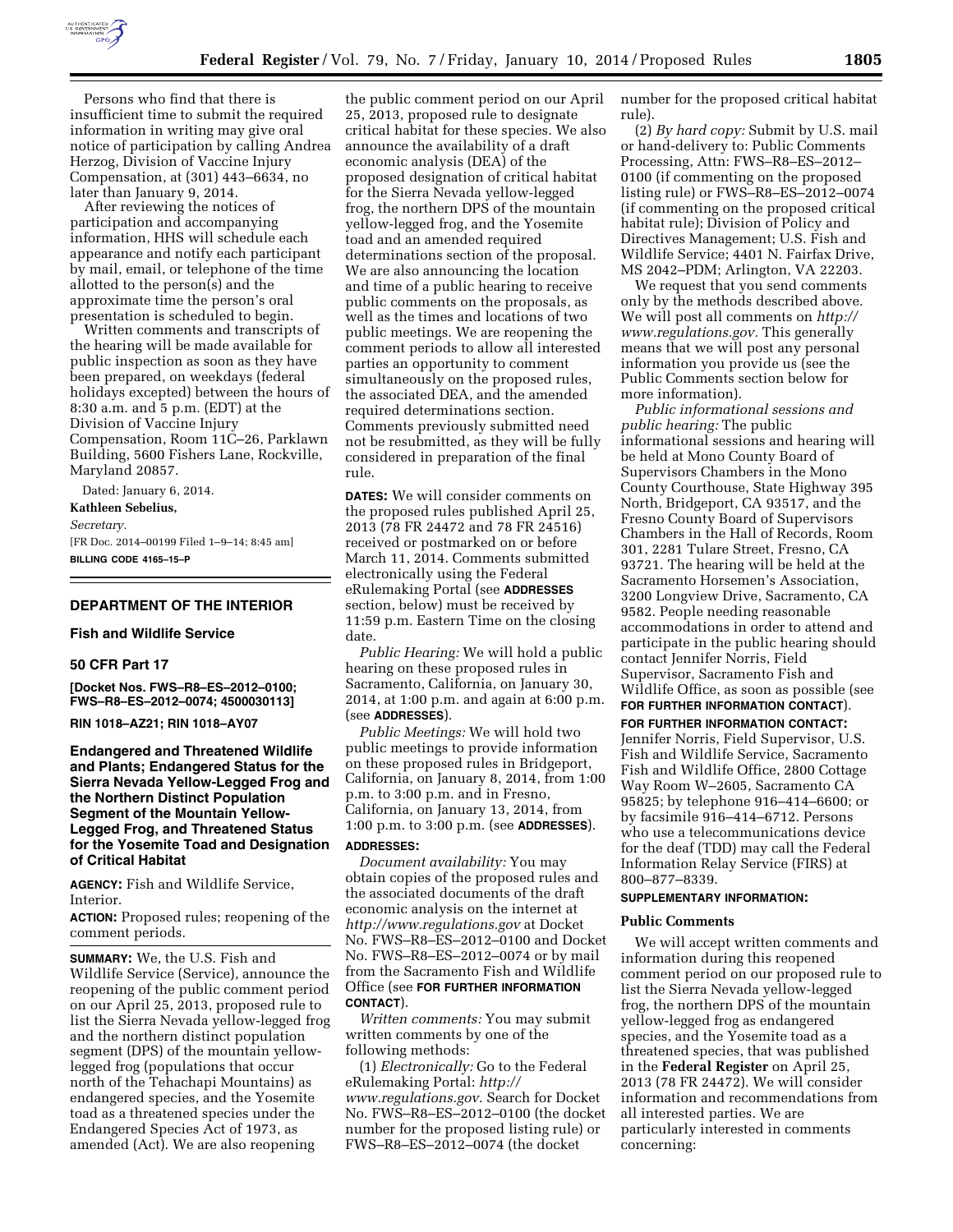

Persons who find that there is insufficient time to submit the required information in writing may give oral notice of participation by calling Andrea Herzog, Division of Vaccine Injury Compensation, at (301) 443–6634, no later than January 9, 2014.

After reviewing the notices of participation and accompanying information, HHS will schedule each appearance and notify each participant by mail, email, or telephone of the time allotted to the person(s) and the approximate time the person's oral presentation is scheduled to begin.

Written comments and transcripts of the hearing will be made available for public inspection as soon as they have been prepared, on weekdays (federal holidays excepted) between the hours of 8:30 a.m. and 5 p.m. (EDT) at the Division of Vaccine Injury Compensation, Room 11C–26, Parklawn Building, 5600 Fishers Lane, Rockville, Maryland 20857.

Dated: January 6, 2014. **Kathleen Sebelius,**  *Secretary.*  [FR Doc. 2014–00199 Filed 1–9–14; 8:45 am] **BILLING CODE 4165–15–P** 

### **DEPARTMENT OF THE INTERIOR**

#### **Fish and Wildlife Service**

### **50 CFR Part 17**

**[Docket Nos. FWS–R8–ES–2012–0100; FWS–R8–ES–2012–0074; 4500030113]** 

**RIN 1018–AZ21; RIN 1018–AY07** 

**Endangered and Threatened Wildlife and Plants; Endangered Status for the Sierra Nevada Yellow-Legged Frog and the Northern Distinct Population Segment of the Mountain Yellow-Legged Frog, and Threatened Status for the Yosemite Toad and Designation of Critical Habitat** 

**AGENCY:** Fish and Wildlife Service, Interior.

**ACTION:** Proposed rules; reopening of the comment periods.

**SUMMARY:** We, the U.S. Fish and Wildlife Service (Service), announce the reopening of the public comment period on our April 25, 2013, proposed rule to list the Sierra Nevada yellow-legged frog and the northern distinct population segment (DPS) of the mountain yellowlegged frog (populations that occur north of the Tehachapi Mountains) as endangered species, and the Yosemite toad as a threatened species under the Endangered Species Act of 1973, as amended (Act). We are also reopening

the public comment period on our April 25, 2013, proposed rule to designate critical habitat for these species. We also announce the availability of a draft economic analysis (DEA) of the proposed designation of critical habitat for the Sierra Nevada yellow-legged frog, the northern DPS of the mountain yellow-legged frog, and the Yosemite toad and an amended required determinations section of the proposal. We are also announcing the location and time of a public hearing to receive public comments on the proposals, as well as the times and locations of two public meetings. We are reopening the comment periods to allow all interested parties an opportunity to comment simultaneously on the proposed rules, the associated DEA, and the amended required determinations section. Comments previously submitted need not be resubmitted, as they will be fully considered in preparation of the final rule.

**DATES:** We will consider comments on the proposed rules published April 25, 2013 (78 FR 24472 and 78 FR 24516) received or postmarked on or before March 11, 2014. Comments submitted electronically using the Federal eRulemaking Portal (see **ADDRESSES** section, below) must be received by 11:59 p.m. Eastern Time on the closing date.

*Public Hearing:* We will hold a public hearing on these proposed rules in Sacramento, California, on January 30, 2014, at 1:00 p.m. and again at 6:00 p.m. (see **ADDRESSES**).

*Public Meetings:* We will hold two public meetings to provide information on these proposed rules in Bridgeport, California, on January 8, 2014, from 1:00 p.m. to 3:00 p.m. and in Fresno, California, on January 13, 2014, from 1:00 p.m. to 3:00 p.m. (see **ADDRESSES**).

# **ADDRESSES:**

*Document availability:* You may obtain copies of the proposed rules and the associated documents of the draft economic analysis on the internet at *<http://www.regulations.gov>* at Docket No. FWS–R8–ES–2012–0100 and Docket No. FWS–R8–ES–2012–0074 or by mail from the Sacramento Fish and Wildlife Office (see **FOR FURTHER INFORMATION CONTACT**).

*Written comments:* You may submit written comments by one of the following methods:

(1) *Electronically:* Go to the Federal eRulemaking Portal: *[http://](http://www.regulations.gov) [www.regulations.gov](http://www.regulations.gov)*. Search for Docket No. FWS–R8–ES–2012–0100 (the docket number for the proposed listing rule) or FWS–R8–ES–2012–0074 (the docket

number for the proposed critical habitat rule).

(2) *By hard copy:* Submit by U.S. mail or hand-delivery to: Public Comments Processing, Attn: FWS–R8–ES–2012– 0100 (if commenting on the proposed listing rule) or FWS–R8–ES–2012–0074 (if commenting on the proposed critical habitat rule); Division of Policy and Directives Management; U.S. Fish and Wildlife Service; 4401 N. Fairfax Drive, MS 2042–PDM; Arlington, VA 22203.

We request that you send comments only by the methods described above. We will post all comments on *[http://](http://www.regulations.gov) [www.regulations.gov.](http://www.regulations.gov)* This generally means that we will post any personal information you provide us (see the Public Comments section below for more information).

*Public informational sessions and public hearing:* The public informational sessions and hearing will be held at Mono County Board of Supervisors Chambers in the Mono County Courthouse, State Highway 395 North, Bridgeport, CA 93517, and the Fresno County Board of Supervisors Chambers in the Hall of Records, Room 301, 2281 Tulare Street, Fresno, CA 93721. The hearing will be held at the Sacramento Horsemen's Association, 3200 Longview Drive, Sacramento, CA 9582. People needing reasonable accommodations in order to attend and participate in the public hearing should contact Jennifer Norris, Field Supervisor, Sacramento Fish and Wildlife Office, as soon as possible (see **FOR FURTHER INFORMATION CONTACT**).

# **FOR FURTHER INFORMATION CONTACT:**

Jennifer Norris, Field Supervisor, U.S. Fish and Wildlife Service, Sacramento Fish and Wildlife Office, 2800 Cottage Way Room W–2605, Sacramento CA 95825; by telephone 916–414–6600; or by facsimile 916–414–6712. Persons who use a telecommunications device for the deaf (TDD) may call the Federal Information Relay Service (FIRS) at 800–877–8339.

# **SUPPLEMENTARY INFORMATION:**

#### **Public Comments**

We will accept written comments and information during this reopened comment period on our proposed rule to list the Sierra Nevada yellow-legged frog, the northern DPS of the mountain yellow-legged frog as endangered species, and the Yosemite toad as a threatened species, that was published in the **Federal Register** on April 25, 2013 (78 FR 24472). We will consider information and recommendations from all interested parties. We are particularly interested in comments concerning: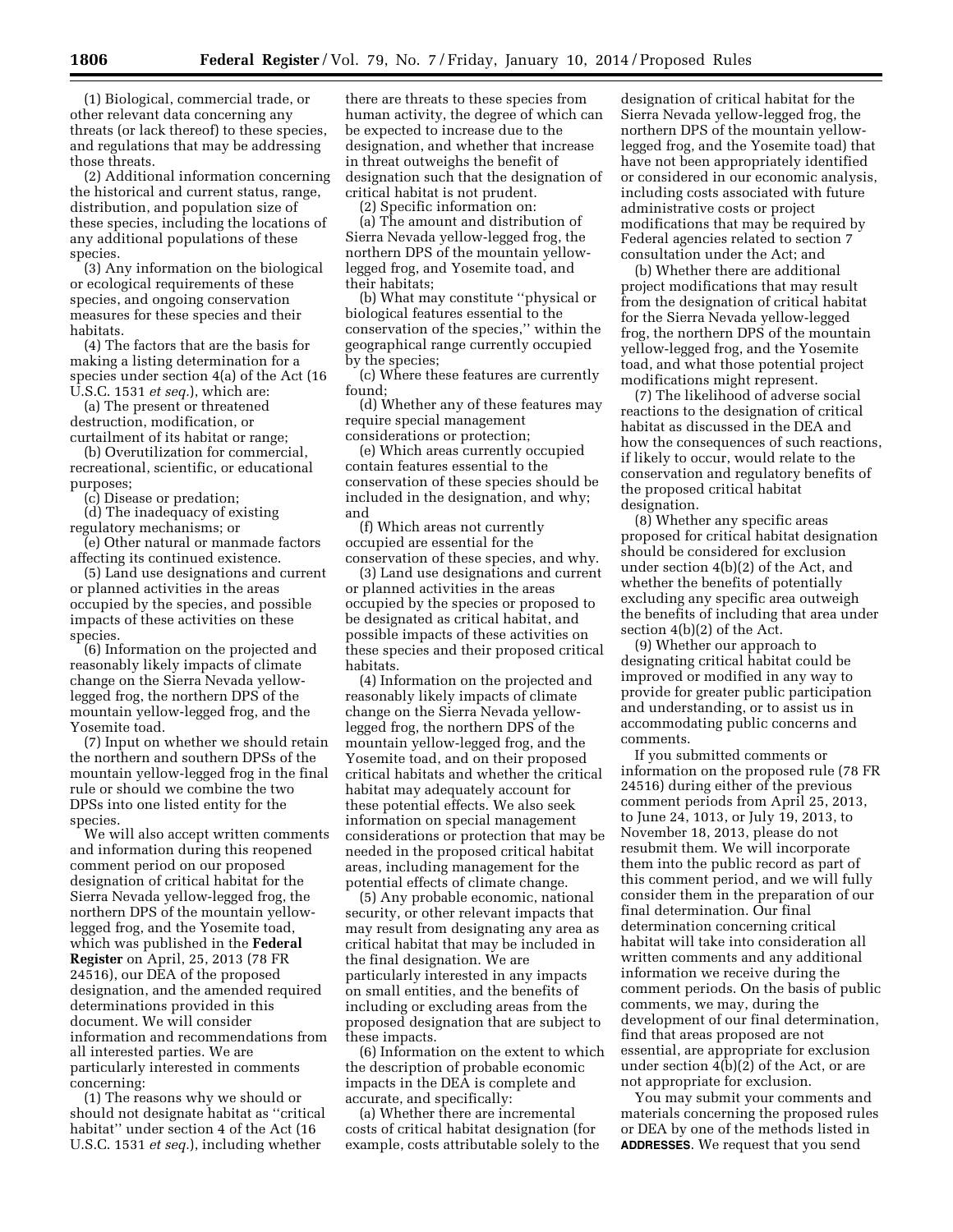(1) Biological, commercial trade, or other relevant data concerning any threats (or lack thereof) to these species, and regulations that may be addressing those threats.

(2) Additional information concerning the historical and current status, range, distribution, and population size of these species, including the locations of any additional populations of these species.

(3) Any information on the biological or ecological requirements of these species, and ongoing conservation measures for these species and their habitats.

(4) The factors that are the basis for making a listing determination for a species under section 4(a) of the Act (16 U.S.C. 1531 *et seq.*), which are:

(a) The present or threatened destruction, modification, or curtailment of its habitat or range;

(b) Overutilization for commercial, recreational, scientific, or educational purposes;

(c) Disease or predation;

(d) The inadequacy of existing regulatory mechanisms; or

(e) Other natural or manmade factors affecting its continued existence.

(5) Land use designations and current or planned activities in the areas occupied by the species, and possible impacts of these activities on these species.

(6) Information on the projected and reasonably likely impacts of climate change on the Sierra Nevada yellowlegged frog, the northern DPS of the mountain yellow-legged frog, and the Yosemite toad.

(7) Input on whether we should retain the northern and southern DPSs of the mountain yellow-legged frog in the final rule or should we combine the two DPSs into one listed entity for the species.

We will also accept written comments and information during this reopened comment period on our proposed designation of critical habitat for the Sierra Nevada yellow-legged frog, the northern DPS of the mountain yellowlegged frog, and the Yosemite toad, which was published in the **Federal Register** on April, 25, 2013 (78 FR 24516), our DEA of the proposed designation, and the amended required determinations provided in this document. We will consider information and recommendations from all interested parties. We are particularly interested in comments concerning:

(1) The reasons why we should or should not designate habitat as ''critical habitat'' under section 4 of the Act (16 U.S.C. 1531 *et seq.*), including whether

there are threats to these species from human activity, the degree of which can be expected to increase due to the designation, and whether that increase in threat outweighs the benefit of designation such that the designation of critical habitat is not prudent.

(2) Specific information on:

(a) The amount and distribution of Sierra Nevada yellow-legged frog, the northern DPS of the mountain yellowlegged frog, and Yosemite toad, and their habitats;

(b) What may constitute ''physical or biological features essential to the conservation of the species,'' within the geographical range currently occupied by the species;

(c) Where these features are currently found;

(d) Whether any of these features may require special management considerations or protection;

(e) Which areas currently occupied contain features essential to the conservation of these species should be included in the designation, and why; and

(f) Which areas not currently occupied are essential for the conservation of these species, and why.

(3) Land use designations and current or planned activities in the areas occupied by the species or proposed to be designated as critical habitat, and possible impacts of these activities on these species and their proposed critical habitats.

(4) Information on the projected and reasonably likely impacts of climate change on the Sierra Nevada yellowlegged frog, the northern DPS of the mountain yellow-legged frog, and the Yosemite toad, and on their proposed critical habitats and whether the critical habitat may adequately account for these potential effects. We also seek information on special management considerations or protection that may be needed in the proposed critical habitat areas, including management for the potential effects of climate change.

(5) Any probable economic, national security, or other relevant impacts that may result from designating any area as critical habitat that may be included in the final designation. We are particularly interested in any impacts on small entities, and the benefits of including or excluding areas from the proposed designation that are subject to these impacts.

(6) Information on the extent to which the description of probable economic impacts in the DEA is complete and accurate, and specifically:

(a) Whether there are incremental costs of critical habitat designation (for example, costs attributable solely to the

designation of critical habitat for the Sierra Nevada yellow-legged frog, the northern DPS of the mountain yellowlegged frog, and the Yosemite toad) that have not been appropriately identified or considered in our economic analysis, including costs associated with future administrative costs or project modifications that may be required by Federal agencies related to section 7 consultation under the Act; and

(b) Whether there are additional project modifications that may result from the designation of critical habitat for the Sierra Nevada yellow-legged frog, the northern DPS of the mountain yellow-legged frog, and the Yosemite toad, and what those potential project modifications might represent.

(7) The likelihood of adverse social reactions to the designation of critical habitat as discussed in the DEA and how the consequences of such reactions, if likely to occur, would relate to the conservation and regulatory benefits of the proposed critical habitat designation.

(8) Whether any specific areas proposed for critical habitat designation should be considered for exclusion under section 4(b)(2) of the Act, and whether the benefits of potentially excluding any specific area outweigh the benefits of including that area under section 4(b)(2) of the Act.

(9) Whether our approach to designating critical habitat could be improved or modified in any way to provide for greater public participation and understanding, or to assist us in accommodating public concerns and comments.

If you submitted comments or information on the proposed rule (78 FR 24516) during either of the previous comment periods from April 25, 2013, to June 24, 1013, or July 19, 2013, to November 18, 2013, please do not resubmit them. We will incorporate them into the public record as part of this comment period, and we will fully consider them in the preparation of our final determination. Our final determination concerning critical habitat will take into consideration all written comments and any additional information we receive during the comment periods. On the basis of public comments, we may, during the development of our final determination, find that areas proposed are not essential, are appropriate for exclusion under section 4(b)(2) of the Act, or are not appropriate for exclusion.

You may submit your comments and materials concerning the proposed rules or DEA by one of the methods listed in **ADDRESSES**. We request that you send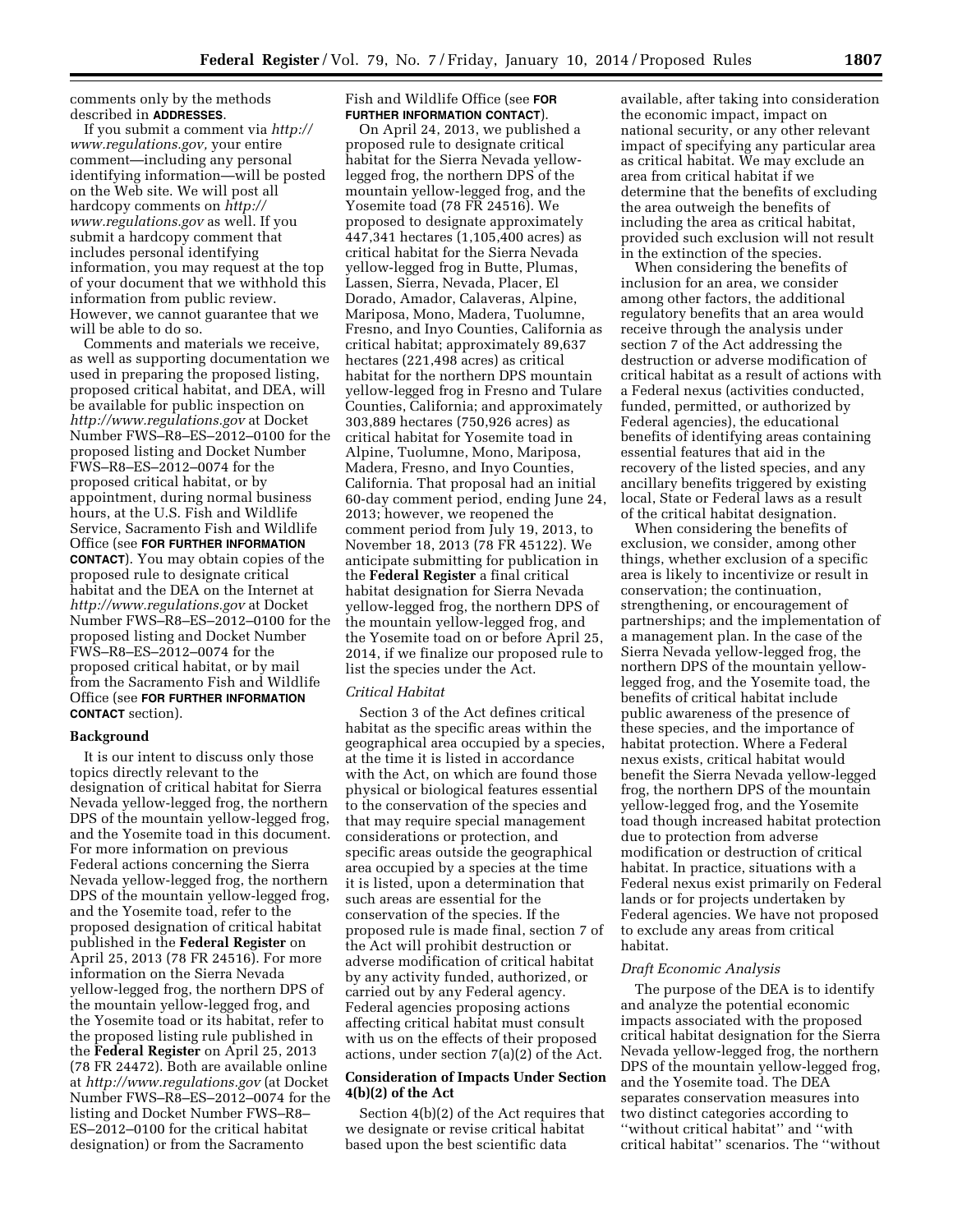comments only by the methods described in **ADDRESSES**.

If you submit a comment via *[http://](http://www.regulations.gov) [www.regulations.gov,](http://www.regulations.gov)* your entire comment—including any personal identifying information—will be posted on the Web site. We will post all hardcopy comments on *[http://](http://www.regulations.gov) [www.regulations.gov](http://www.regulations.gov)* as well. If you submit a hardcopy comment that includes personal identifying information, you may request at the top of your document that we withhold this information from public review. However, we cannot guarantee that we will be able to do so.

Comments and materials we receive, as well as supporting documentation we used in preparing the proposed listing, proposed critical habitat, and DEA, will be available for public inspection on *<http://www.regulations.gov>* at Docket Number FWS–R8–ES–2012–0100 for the proposed listing and Docket Number FWS–R8–ES–2012–0074 for the proposed critical habitat, or by appointment, during normal business hours, at the U.S. Fish and Wildlife Service, Sacramento Fish and Wildlife Office (see **FOR FURTHER INFORMATION CONTACT**). You may obtain copies of the proposed rule to designate critical habitat and the DEA on the Internet at *<http://www.regulations.gov>* at Docket Number FWS–R8–ES–2012–0100 for the proposed listing and Docket Number FWS–R8–ES–2012–0074 for the proposed critical habitat, or by mail from the Sacramento Fish and Wildlife Office (see **FOR FURTHER INFORMATION CONTACT** section).

### **Background**

It is our intent to discuss only those topics directly relevant to the designation of critical habitat for Sierra Nevada yellow-legged frog, the northern DPS of the mountain yellow-legged frog, and the Yosemite toad in this document. For more information on previous Federal actions concerning the Sierra Nevada yellow-legged frog, the northern DPS of the mountain yellow-legged frog, and the Yosemite toad, refer to the proposed designation of critical habitat published in the **Federal Register** on April 25, 2013 (78 FR 24516). For more information on the Sierra Nevada yellow-legged frog, the northern DPS of the mountain yellow-legged frog, and the Yosemite toad or its habitat, refer to the proposed listing rule published in the **Federal Register** on April 25, 2013 (78 FR 24472). Both are available online at *<http://www.regulations.gov>* (at Docket Number FWS–R8–ES–2012–0074 for the listing and Docket Number FWS–R8– ES–2012–0100 for the critical habitat designation) or from the Sacramento

Fish and Wildlife Office (see **FOR FURTHER INFORMATION CONTACT**).

On April 24, 2013, we published a proposed rule to designate critical habitat for the Sierra Nevada yellowlegged frog, the northern DPS of the mountain yellow-legged frog, and the Yosemite toad (78 FR 24516). We proposed to designate approximately 447,341 hectares (1,105,400 acres) as critical habitat for the Sierra Nevada yellow-legged frog in Butte, Plumas, Lassen, Sierra, Nevada, Placer, El Dorado, Amador, Calaveras, Alpine, Mariposa, Mono, Madera, Tuolumne, Fresno, and Inyo Counties, California as critical habitat; approximately 89,637 hectares (221,498 acres) as critical habitat for the northern DPS mountain yellow-legged frog in Fresno and Tulare Counties, California; and approximately 303,889 hectares (750,926 acres) as critical habitat for Yosemite toad in Alpine, Tuolumne, Mono, Mariposa, Madera, Fresno, and Inyo Counties, California. That proposal had an initial 60-day comment period, ending June 24, 2013; however, we reopened the comment period from July 19, 2013, to November 18, 2013 (78 FR 45122). We anticipate submitting for publication in the **Federal Register** a final critical habitat designation for Sierra Nevada yellow-legged frog, the northern DPS of the mountain yellow-legged frog, and the Yosemite toad on or before April 25, 2014, if we finalize our proposed rule to list the species under the Act.

#### *Critical Habitat*

Section 3 of the Act defines critical habitat as the specific areas within the geographical area occupied by a species, at the time it is listed in accordance with the Act, on which are found those physical or biological features essential to the conservation of the species and that may require special management considerations or protection, and specific areas outside the geographical area occupied by a species at the time it is listed, upon a determination that such areas are essential for the conservation of the species. If the proposed rule is made final, section 7 of the Act will prohibit destruction or adverse modification of critical habitat by any activity funded, authorized, or carried out by any Federal agency. Federal agencies proposing actions affecting critical habitat must consult with us on the effects of their proposed actions, under section 7(a)(2) of the Act.

### **Consideration of Impacts Under Section 4(b)(2) of the Act**

Section 4(b)(2) of the Act requires that we designate or revise critical habitat based upon the best scientific data

available, after taking into consideration the economic impact, impact on national security, or any other relevant impact of specifying any particular area as critical habitat. We may exclude an area from critical habitat if we determine that the benefits of excluding the area outweigh the benefits of including the area as critical habitat, provided such exclusion will not result in the extinction of the species.

When considering the benefits of inclusion for an area, we consider among other factors, the additional regulatory benefits that an area would receive through the analysis under section 7 of the Act addressing the destruction or adverse modification of critical habitat as a result of actions with a Federal nexus (activities conducted, funded, permitted, or authorized by Federal agencies), the educational benefits of identifying areas containing essential features that aid in the recovery of the listed species, and any ancillary benefits triggered by existing local, State or Federal laws as a result of the critical habitat designation.

When considering the benefits of exclusion, we consider, among other things, whether exclusion of a specific area is likely to incentivize or result in conservation; the continuation, strengthening, or encouragement of partnerships; and the implementation of a management plan. In the case of the Sierra Nevada yellow-legged frog, the northern DPS of the mountain yellowlegged frog, and the Yosemite toad, the benefits of critical habitat include public awareness of the presence of these species, and the importance of habitat protection. Where a Federal nexus exists, critical habitat would benefit the Sierra Nevada yellow-legged frog, the northern DPS of the mountain yellow-legged frog, and the Yosemite toad though increased habitat protection due to protection from adverse modification or destruction of critical habitat. In practice, situations with a Federal nexus exist primarily on Federal lands or for projects undertaken by Federal agencies. We have not proposed to exclude any areas from critical habitat.

### *Draft Economic Analysis*

The purpose of the DEA is to identify and analyze the potential economic impacts associated with the proposed critical habitat designation for the Sierra Nevada yellow-legged frog, the northern DPS of the mountain yellow-legged frog, and the Yosemite toad. The DEA separates conservation measures into two distinct categories according to ''without critical habitat'' and ''with critical habitat'' scenarios. The ''without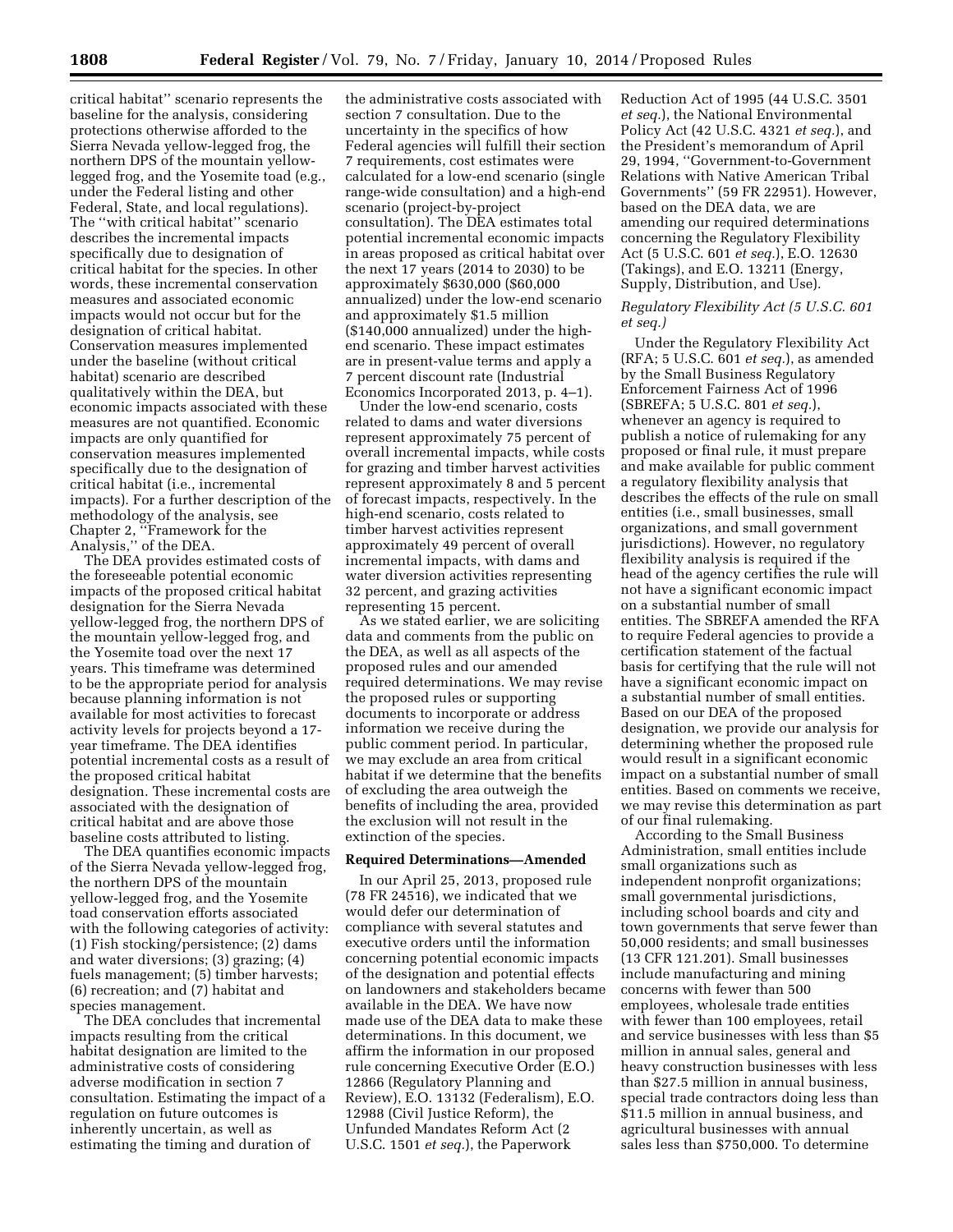critical habitat'' scenario represents the baseline for the analysis, considering protections otherwise afforded to the Sierra Nevada yellow-legged frog, the northern DPS of the mountain yellowlegged frog, and the Yosemite toad (e.g., under the Federal listing and other Federal, State, and local regulations). The ''with critical habitat'' scenario describes the incremental impacts specifically due to designation of critical habitat for the species. In other words, these incremental conservation measures and associated economic impacts would not occur but for the designation of critical habitat. Conservation measures implemented under the baseline (without critical habitat) scenario are described qualitatively within the DEA, but economic impacts associated with these measures are not quantified. Economic impacts are only quantified for conservation measures implemented specifically due to the designation of critical habitat (i.e., incremental impacts). For a further description of the methodology of the analysis, see Chapter 2, ''Framework for the Analysis,'' of the DEA.

The DEA provides estimated costs of the foreseeable potential economic impacts of the proposed critical habitat designation for the Sierra Nevada yellow-legged frog, the northern DPS of the mountain yellow-legged frog, and the Yosemite toad over the next 17 years. This timeframe was determined to be the appropriate period for analysis because planning information is not available for most activities to forecast activity levels for projects beyond a 17 year timeframe. The DEA identifies potential incremental costs as a result of the proposed critical habitat designation. These incremental costs are associated with the designation of critical habitat and are above those baseline costs attributed to listing.

The DEA quantifies economic impacts of the Sierra Nevada yellow-legged frog, the northern DPS of the mountain yellow-legged frog, and the Yosemite toad conservation efforts associated with the following categories of activity: (1) Fish stocking/persistence; (2) dams and water diversions; (3) grazing; (4) fuels management; (5) timber harvests; (6) recreation; and (7) habitat and species management.

The DEA concludes that incremental impacts resulting from the critical habitat designation are limited to the administrative costs of considering adverse modification in section 7 consultation. Estimating the impact of a regulation on future outcomes is inherently uncertain, as well as estimating the timing and duration of

the administrative costs associated with section 7 consultation. Due to the uncertainty in the specifics of how Federal agencies will fulfill their section 7 requirements, cost estimates were calculated for a low-end scenario (single range-wide consultation) and a high-end scenario (project-by-project consultation). The DEA estimates total potential incremental economic impacts in areas proposed as critical habitat over the next 17 years (2014 to 2030) to be approximately \$630,000 (\$60,000 annualized) under the low-end scenario and approximately \$1.5 million (\$140,000 annualized) under the highend scenario. These impact estimates are in present-value terms and apply a 7 percent discount rate (Industrial Economics Incorporated 2013, p. 4–1).

Under the low-end scenario, costs related to dams and water diversions represent approximately 75 percent of overall incremental impacts, while costs for grazing and timber harvest activities represent approximately 8 and 5 percent of forecast impacts, respectively. In the high-end scenario, costs related to timber harvest activities represent approximately 49 percent of overall incremental impacts, with dams and water diversion activities representing 32 percent, and grazing activities representing 15 percent.

As we stated earlier, we are soliciting data and comments from the public on the DEA, as well as all aspects of the proposed rules and our amended required determinations. We may revise the proposed rules or supporting documents to incorporate or address information we receive during the public comment period. In particular, we may exclude an area from critical habitat if we determine that the benefits of excluding the area outweigh the benefits of including the area, provided the exclusion will not result in the extinction of the species.

### **Required Determinations—Amended**

In our April 25, 2013, proposed rule (78 FR 24516), we indicated that we would defer our determination of compliance with several statutes and executive orders until the information concerning potential economic impacts of the designation and potential effects on landowners and stakeholders became available in the DEA. We have now made use of the DEA data to make these determinations. In this document, we affirm the information in our proposed rule concerning Executive Order (E.O.) 12866 (Regulatory Planning and Review), E.O. 13132 (Federalism), E.O. 12988 (Civil Justice Reform), the Unfunded Mandates Reform Act (2 U.S.C. 1501 *et seq.*), the Paperwork

Reduction Act of 1995 (44 U.S.C. 3501 *et seq.*), the National Environmental Policy Act (42 U.S.C. 4321 *et seq.*), and the President's memorandum of April 29, 1994, ''Government-to-Government Relations with Native American Tribal Governments'' (59 FR 22951). However, based on the DEA data, we are amending our required determinations concerning the Regulatory Flexibility Act (5 U.S.C. 601 *et seq.*), E.O. 12630 (Takings), and E.O. 13211 (Energy, Supply, Distribution, and Use).

# *Regulatory Flexibility Act (5 U.S.C. 601 et seq.)*

Under the Regulatory Flexibility Act (RFA; 5 U.S.C. 601 *et seq.*), as amended by the Small Business Regulatory Enforcement Fairness Act of 1996 (SBREFA; 5 U.S.C. 801 *et seq.*), whenever an agency is required to publish a notice of rulemaking for any proposed or final rule, it must prepare and make available for public comment a regulatory flexibility analysis that describes the effects of the rule on small entities (i.e., small businesses, small organizations, and small government jurisdictions). However, no regulatory flexibility analysis is required if the head of the agency certifies the rule will not have a significant economic impact on a substantial number of small entities. The SBREFA amended the RFA to require Federal agencies to provide a certification statement of the factual basis for certifying that the rule will not have a significant economic impact on a substantial number of small entities. Based on our DEA of the proposed designation, we provide our analysis for determining whether the proposed rule would result in a significant economic impact on a substantial number of small entities. Based on comments we receive, we may revise this determination as part of our final rulemaking.

According to the Small Business Administration, small entities include small organizations such as independent nonprofit organizations; small governmental jurisdictions, including school boards and city and town governments that serve fewer than 50,000 residents; and small businesses (13 CFR 121.201). Small businesses include manufacturing and mining concerns with fewer than 500 employees, wholesale trade entities with fewer than 100 employees, retail and service businesses with less than \$5 million in annual sales, general and heavy construction businesses with less than \$27.5 million in annual business, special trade contractors doing less than \$11.5 million in annual business, and agricultural businesses with annual sales less than \$750,000. To determine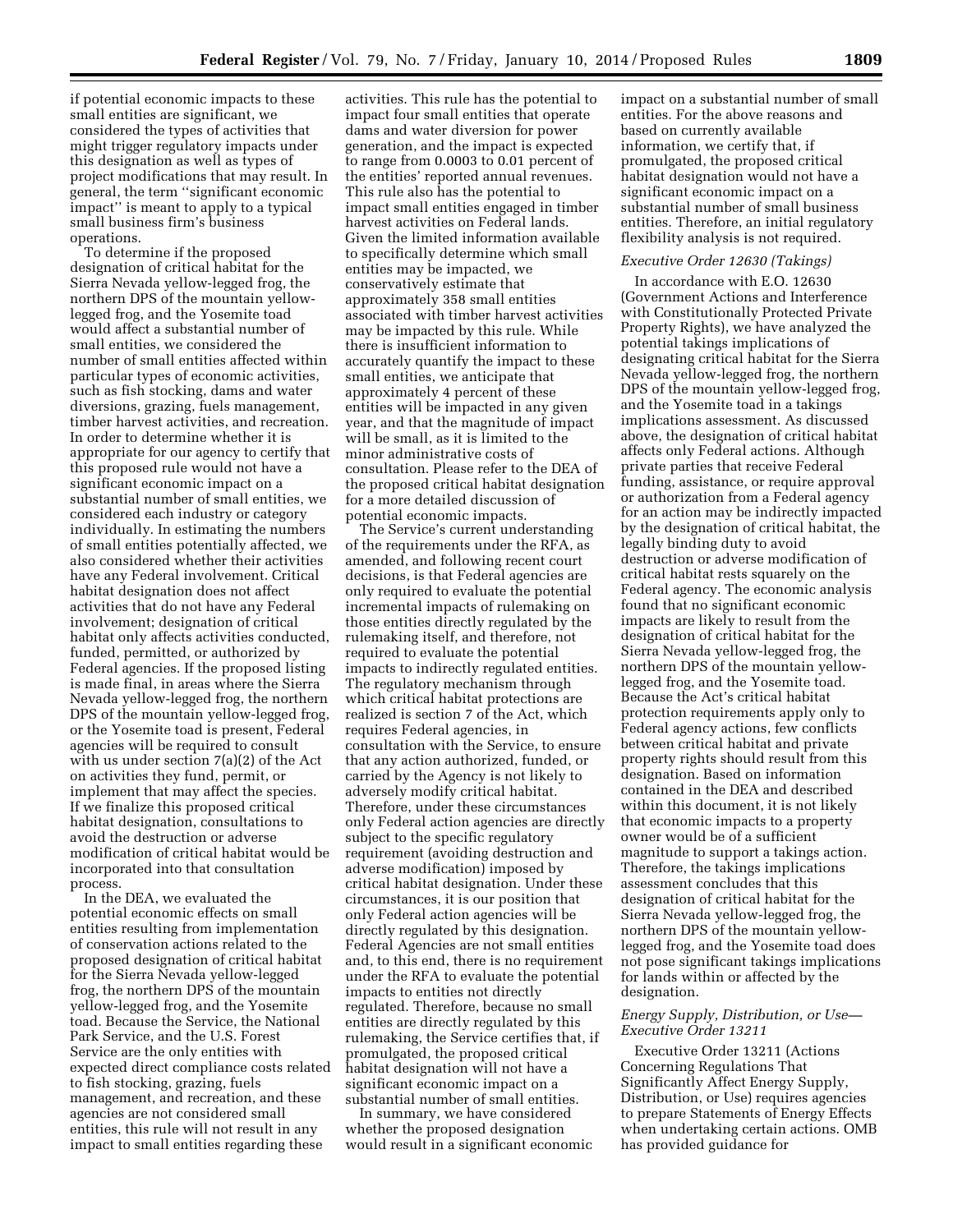if potential economic impacts to these small entities are significant, we considered the types of activities that might trigger regulatory impacts under this designation as well as types of project modifications that may result. In general, the term ''significant economic impact'' is meant to apply to a typical small business firm's business operations.

To determine if the proposed designation of critical habitat for the Sierra Nevada yellow-legged frog, the northern DPS of the mountain yellowlegged frog, and the Yosemite toad would affect a substantial number of small entities, we considered the number of small entities affected within particular types of economic activities, such as fish stocking, dams and water diversions, grazing, fuels management, timber harvest activities, and recreation. In order to determine whether it is appropriate for our agency to certify that this proposed rule would not have a significant economic impact on a substantial number of small entities, we considered each industry or category individually. In estimating the numbers of small entities potentially affected, we also considered whether their activities have any Federal involvement. Critical habitat designation does not affect activities that do not have any Federal involvement; designation of critical habitat only affects activities conducted, funded, permitted, or authorized by Federal agencies. If the proposed listing is made final, in areas where the Sierra Nevada yellow-legged frog, the northern DPS of the mountain yellow-legged frog, or the Yosemite toad is present, Federal agencies will be required to consult with us under section 7(a)(2) of the Act on activities they fund, permit, or implement that may affect the species. If we finalize this proposed critical habitat designation, consultations to avoid the destruction or adverse modification of critical habitat would be incorporated into that consultation process.

In the DEA, we evaluated the potential economic effects on small entities resulting from implementation of conservation actions related to the proposed designation of critical habitat for the Sierra Nevada yellow-legged frog, the northern DPS of the mountain yellow-legged frog, and the Yosemite toad. Because the Service, the National Park Service, and the U.S. Forest Service are the only entities with expected direct compliance costs related to fish stocking, grazing, fuels management, and recreation, and these agencies are not considered small entities, this rule will not result in any impact to small entities regarding these

activities. This rule has the potential to impact four small entities that operate dams and water diversion for power generation, and the impact is expected to range from 0.0003 to 0.01 percent of the entities' reported annual revenues. This rule also has the potential to impact small entities engaged in timber harvest activities on Federal lands. Given the limited information available to specifically determine which small entities may be impacted, we conservatively estimate that approximately 358 small entities associated with timber harvest activities may be impacted by this rule. While there is insufficient information to accurately quantify the impact to these small entities, we anticipate that approximately 4 percent of these entities will be impacted in any given year, and that the magnitude of impact will be small, as it is limited to the minor administrative costs of consultation. Please refer to the DEA of the proposed critical habitat designation for a more detailed discussion of potential economic impacts.

The Service's current understanding of the requirements under the RFA, as amended, and following recent court decisions, is that Federal agencies are only required to evaluate the potential incremental impacts of rulemaking on those entities directly regulated by the rulemaking itself, and therefore, not required to evaluate the potential impacts to indirectly regulated entities. The regulatory mechanism through which critical habitat protections are realized is section 7 of the Act, which requires Federal agencies, in consultation with the Service, to ensure that any action authorized, funded, or carried by the Agency is not likely to adversely modify critical habitat. Therefore, under these circumstances only Federal action agencies are directly subject to the specific regulatory requirement (avoiding destruction and adverse modification) imposed by critical habitat designation. Under these circumstances, it is our position that only Federal action agencies will be directly regulated by this designation. Federal Agencies are not small entities and, to this end, there is no requirement under the RFA to evaluate the potential impacts to entities not directly regulated. Therefore, because no small entities are directly regulated by this rulemaking, the Service certifies that, if promulgated, the proposed critical habitat designation will not have a significant economic impact on a substantial number of small entities.

In summary, we have considered whether the proposed designation would result in a significant economic impact on a substantial number of small entities. For the above reasons and based on currently available information, we certify that, if promulgated, the proposed critical habitat designation would not have a significant economic impact on a substantial number of small business entities. Therefore, an initial regulatory flexibility analysis is not required.

#### *Executive Order 12630 (Takings)*

In accordance with E.O. 12630 (Government Actions and Interference with Constitutionally Protected Private Property Rights), we have analyzed the potential takings implications of designating critical habitat for the Sierra Nevada yellow-legged frog, the northern DPS of the mountain yellow-legged frog, and the Yosemite toad in a takings implications assessment. As discussed above, the designation of critical habitat affects only Federal actions. Although private parties that receive Federal funding, assistance, or require approval or authorization from a Federal agency for an action may be indirectly impacted by the designation of critical habitat, the legally binding duty to avoid destruction or adverse modification of critical habitat rests squarely on the Federal agency. The economic analysis found that no significant economic impacts are likely to result from the designation of critical habitat for the Sierra Nevada yellow-legged frog, the northern DPS of the mountain yellowlegged frog, and the Yosemite toad. Because the Act's critical habitat protection requirements apply only to Federal agency actions, few conflicts between critical habitat and private property rights should result from this designation. Based on information contained in the DEA and described within this document, it is not likely that economic impacts to a property owner would be of a sufficient magnitude to support a takings action. Therefore, the takings implications assessment concludes that this designation of critical habitat for the Sierra Nevada yellow-legged frog, the northern DPS of the mountain yellowlegged frog, and the Yosemite toad does not pose significant takings implications for lands within or affected by the designation.

# *Energy Supply, Distribution, or Use— Executive Order 13211*

Executive Order 13211 (Actions Concerning Regulations That Significantly Affect Energy Supply, Distribution, or Use) requires agencies to prepare Statements of Energy Effects when undertaking certain actions. OMB has provided guidance for